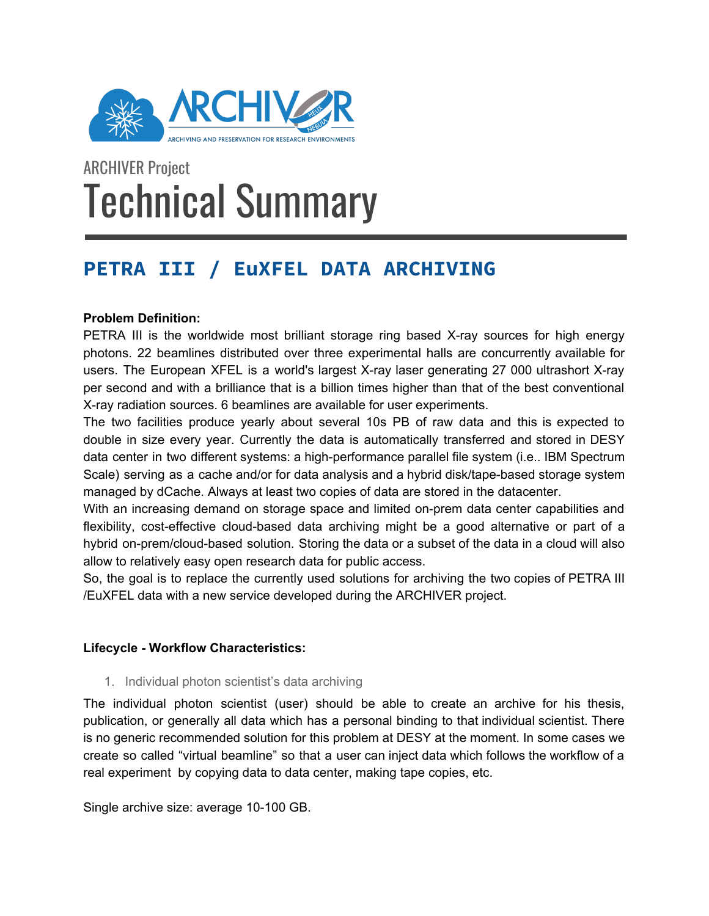

# ARCHIVER Project Technical Summary

# **PETRA III / EuXFEL DATA ARCHIVING**

## **Problem Definition:**

PETRA III is the worldwide most brilliant storage ring based X-ray sources for high energy photons. 22 beamlines distributed over three experimental halls are concurrently available for users. The European XFEL is a world's largest X-ray laser generating 27 000 ultrashort X-ray per second and with a brilliance that is a billion times higher than that of the best conventional X-ray radiation sources. 6 beamlines are available for user experiments.

The two facilities produce yearly about several 10s PB of raw data and this is expected to double in size every year. Currently the data is automatically transferred and stored in DESY data center in two different systems: a high-performance parallel file system (i.e.. IBM Spectrum Scale) serving as a cache and/or for data analysis and a hybrid disk/tape-based storage system managed by dCache. Always at least two copies of data are stored in the datacenter.

With an increasing demand on storage space and limited on-prem data center capabilities and flexibility, cost-effective cloud-based data archiving might be a good alternative or part of a hybrid on-prem/cloud-based solution. Storing the data or a subset of the data in a cloud will also allow to relatively easy open research data for public access.

So, the goal is to replace the currently used solutions for archiving the two copies of PETRA III /EuXFEL data with a new service developed during the ARCHIVER project.

## **Lifecycle - Workflow Characteristics:**

1. Individual photon scientist's data archiving

The individual photon scientist (user) should be able to create an archive for his thesis, publication, or generally all data which has a personal binding to that individual scientist. There is no generic recommended solution for this problem at DESY at the moment. In some cases we create so called "virtual beamline" so that a user can inject data which follows the workflow of a real experiment by copying data to data center, making tape copies, etc.

Single archive size: average 10-100 GB.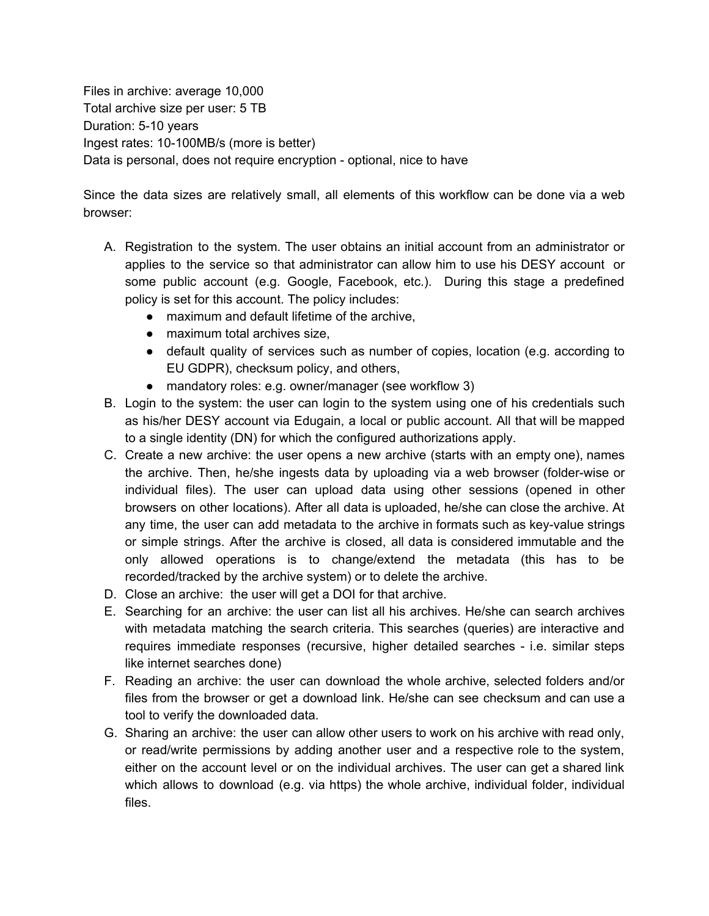Files in archive: average 10,000 Total archive size per user: 5 TB Duration: 5-10 years Ingest rates: 10-100MB/s (more is better) Data is personal, does not require encryption - optional, nice to have

Since the data sizes are relatively small, all elements of this workflow can be done via a web browser:

- A. Registration to the system. The user obtains an initial account from an administrator or applies to the service so that administrator can allow him to use his DESY account or some public account (e.g. Google, Facebook, etc.). During this stage a predefined policy is set for this account. The policy includes:
	- maximum and default lifetime of the archive,
	- maximum total archives size,
	- default quality of services such as number of copies, location (e.g. according to EU GDPR), checksum policy, and others,
	- mandatory roles: e.g. owner/manager (see workflow 3)
- B. Login to the system: the user can login to the system using one of his credentials such as his/her DESY account via Edugain, a local or public account. All that will be mapped to a single identity (DN) for which the configured authorizations apply.
- C. Create a new archive: the user opens a new archive (starts with an empty one), names the archive. Then, he/she ingests data by uploading via a web browser (folder-wise or individual files). The user can upload data using other sessions (opened in other browsers on other locations). After all data is uploaded, he/she can close the archive. At any time, the user can add metadata to the archive in formats such as key-value strings or simple strings. After the archive is closed, all data is considered immutable and the only allowed operations is to change/extend the metadata (this has to be recorded/tracked by the archive system) or to delete the archive.
- D. Close an archive: the user will get a DOI for that archive.
- E. Searching for an archive: the user can list all his archives. He/she can search archives with metadata matching the search criteria. This searches (queries) are interactive and requires immediate responses (recursive, higher detailed searches - i.e. similar steps like internet searches done)
- F. Reading an archive: the user can download the whole archive, selected folders and/or files from the browser or get a download link. He/she can see checksum and can use a tool to verify the downloaded data.
- G. Sharing an archive: the user can allow other users to work on his archive with read only, or read/write permissions by adding another user and a respective role to the system, either on the account level or on the individual archives. The user can get a shared link which allows to download (e.g. via https) the whole archive, individual folder, individual files.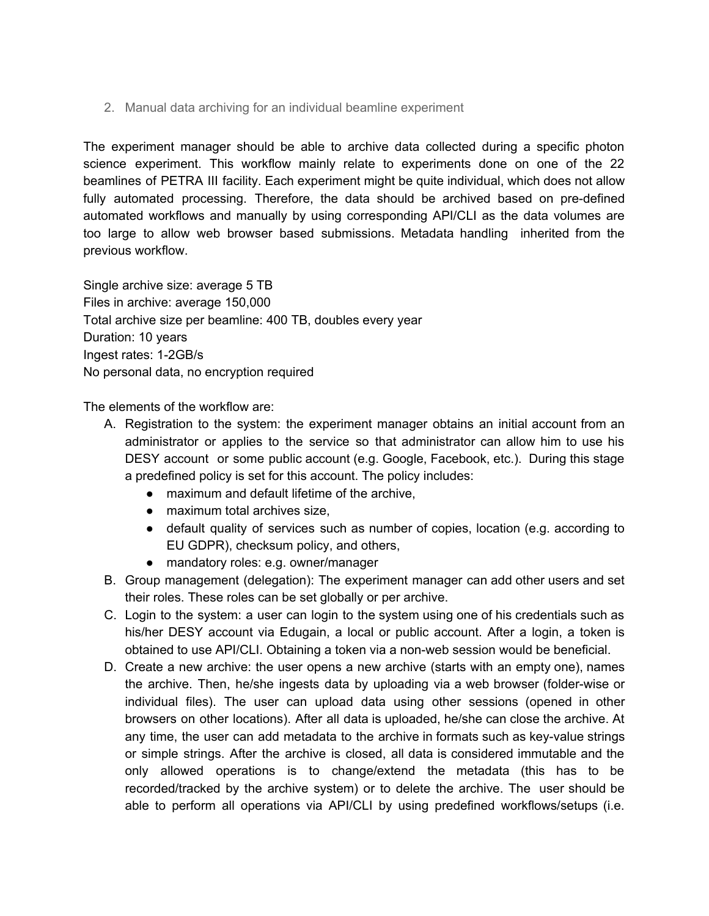2. Manual data archiving for an individual beamline experiment

The experiment manager should be able to archive data collected during a specific photon science experiment. This workflow mainly relate to experiments done on one of the 22 beamlines of PETRA III facility. Each experiment might be quite individual, which does not allow fully automated processing. Therefore, the data should be archived based on pre-defined automated workflows and manually by using corresponding API/CLI as the data volumes are too large to allow web browser based submissions. Metadata handling inherited from the previous workflow.

Single archive size: average 5 TB Files in archive: average 150,000 Total archive size per beamline: 400 TB, doubles every year Duration: 10 years Ingest rates: 1-2GB/s No personal data, no encryption required

The elements of the workflow are:

- A. Registration to the system: the experiment manager obtains an initial account from an administrator or applies to the service so that administrator can allow him to use his DESY account or some public account (e.g. Google, Facebook, etc.). During this stage a predefined policy is set for this account. The policy includes:
	- maximum and default lifetime of the archive,
	- maximum total archives size,
	- default quality of services such as number of copies, location (e.g. according to EU GDPR), checksum policy, and others,
	- mandatory roles: e.g. owner/manager
- B. Group management (delegation): The experiment manager can add other users and set their roles. These roles can be set globally or per archive.
- C. Login to the system: a user can login to the system using one of his credentials such as his/her DESY account via Edugain, a local or public account. After a login, a token is obtained to use API/CLI. Obtaining a token via a non-web session would be beneficial.
- D. Create a new archive: the user opens a new archive (starts with an empty one), names the archive. Then, he/she ingests data by uploading via a web browser (folder-wise or individual files). The user can upload data using other sessions (opened in other browsers on other locations). After all data is uploaded, he/she can close the archive. At any time, the user can add metadata to the archive in formats such as key-value strings or simple strings. After the archive is closed, all data is considered immutable and the only allowed operations is to change/extend the metadata (this has to be recorded/tracked by the archive system) or to delete the archive. The user should be able to perform all operations via API/CLI by using predefined workflows/setups (i.e.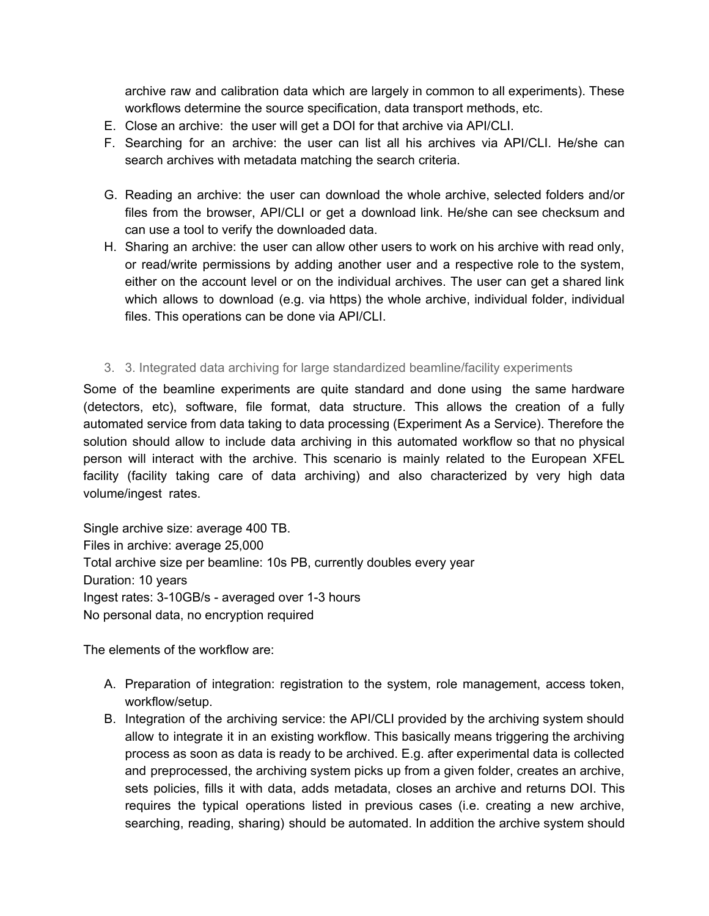archive raw and calibration data which are largely in common to all experiments). These workflows determine the source specification, data transport methods, etc.

- E. Close an archive: the user will get a DOI for that archive via API/CLI.
- F. Searching for an archive: the user can list all his archives via API/CLI. He/she can search archives with metadata matching the search criteria.
- G. Reading an archive: the user can download the whole archive, selected folders and/or files from the browser, API/CLI or get a download link. He/she can see checksum and can use a tool to verify the downloaded data.
- H. Sharing an archive: the user can allow other users to work on his archive with read only, or read/write permissions by adding another user and a respective role to the system, either on the account level or on the individual archives. The user can get a shared link which allows to download (e.g. via https) the whole archive, individual folder, individual files. This operations can be done via API/CLI.
- 3. 3. Integrated data archiving for large standardized beamline/facility experiments

Some of the beamline experiments are quite standard and done using the same hardware (detectors, etc), software, file format, data structure. This allows the creation of a fully automated service from data taking to data processing (Experiment As a Service). Therefore the solution should allow to include data archiving in this automated workflow so that no physical person will interact with the archive. This scenario is mainly related to the European XFEL facility (facility taking care of data archiving) and also characterized by very high data volume/ingest rates.

Single archive size: average 400 TB. Files in archive: average 25,000 Total archive size per beamline: 10s PB, currently doubles every year Duration: 10 years Ingest rates: 3-10GB/s - averaged over 1-3 hours No personal data, no encryption required

The elements of the workflow are:

- A. Preparation of integration: registration to the system, role management, access token, workflow/setup.
- B. Integration of the archiving service: the API/CLI provided by the archiving system should allow to integrate it in an existing workflow. This basically means triggering the archiving process as soon as data is ready to be archived. E.g. after experimental data is collected and preprocessed, the archiving system picks up from a given folder, creates an archive, sets policies, fills it with data, adds metadata, closes an archive and returns DOI. This requires the typical operations listed in previous cases (i.e. creating a new archive, searching, reading, sharing) should be automated. In addition the archive system should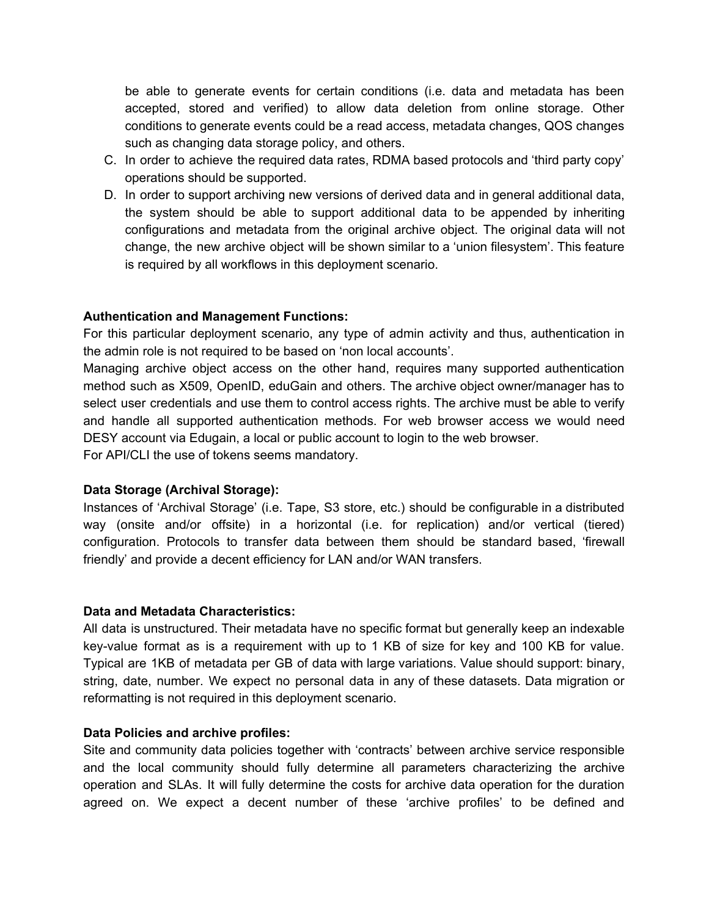be able to generate events for certain conditions (i.e. data and metadata has been accepted, stored and verified) to allow data deletion from online storage. Other conditions to generate events could be a read access, metadata changes, QOS changes such as changing data storage policy, and others.

- C. In order to achieve the required data rates, RDMA based protocols and 'third party copy' operations should be supported.
- D. In order to support archiving new versions of derived data and in general additional data, the system should be able to support additional data to be appended by inheriting configurations and metadata from the original archive object. The original data will not change, the new archive object will be shown similar to a 'union filesystem'. This feature is required by all workflows in this deployment scenario.

#### **Authentication and Management Functions:**

For this particular deployment scenario, any type of admin activity and thus, authentication in the admin role is not required to be based on 'non local accounts'.

Managing archive object access on the other hand, requires many supported authentication method such as X509, OpenID, eduGain and others. The archive object owner/manager has to select user credentials and use them to control access rights. The archive must be able to verify and handle all supported authentication methods. For web browser access we would need DESY account via Edugain, a local or public account to login to the web browser. For API/CLI the use of tokens seems mandatory.

#### **Data Storage (Archival Storage):**

Instances of 'Archival Storage' (i.e. Tape, S3 store, etc.) should be configurable in a distributed way (onsite and/or offsite) in a horizontal (i.e. for replication) and/or vertical (tiered) configuration. Protocols to transfer data between them should be standard based, 'firewall friendly' and provide a decent efficiency for LAN and/or WAN transfers.

#### **Data and Metadata Characteristics:**

All data is unstructured. Their metadata have no specific format but generally keep an indexable key-value format as is a requirement with up to 1 KB of size for key and 100 KB for value. Typical are 1KB of metadata per GB of data with large variations. Value should support: binary, string, date, number. We expect no personal data in any of these datasets. Data migration or reformatting is not required in this deployment scenario.

#### **Data Policies and archive profiles:**

Site and community data policies together with 'contracts' between archive service responsible and the local community should fully determine all parameters characterizing the archive operation and SLAs. It will fully determine the costs for archive data operation for the duration agreed on. We expect a decent number of these 'archive profiles' to be defined and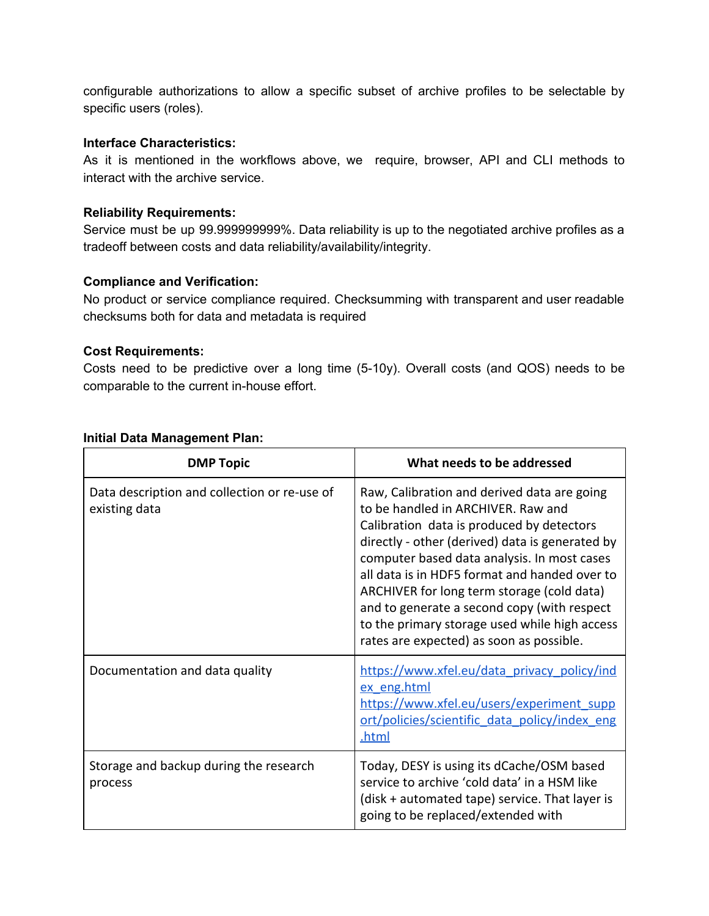configurable authorizations to allow a specific subset of archive profiles to be selectable by specific users (roles).

#### **Interface Characteristics:**

As it is mentioned in the workflows above, we require, browser, API and CLI methods to interact with the archive service.

#### **Reliability Requirements:**

Service must be up 99.999999999%. Data reliability is up to the negotiated archive profiles as a tradeoff between costs and data reliability/availability/integrity.

#### **Compliance and Verification:**

No product or service compliance required. Checksumming with transparent and user readable checksums both for data and metadata is required

#### **Cost Requirements:**

Costs need to be predictive over a long time (5-10y). Overall costs (and QOS) needs to be comparable to the current in-house effort.

| <b>DMP Topic</b>                                              | What needs to be addressed                                                                                                                                                                                                                                                                                                                                                                                                                                                  |
|---------------------------------------------------------------|-----------------------------------------------------------------------------------------------------------------------------------------------------------------------------------------------------------------------------------------------------------------------------------------------------------------------------------------------------------------------------------------------------------------------------------------------------------------------------|
| Data description and collection or re-use of<br>existing data | Raw, Calibration and derived data are going<br>to be handled in ARCHIVER. Raw and<br>Calibration data is produced by detectors<br>directly - other (derived) data is generated by<br>computer based data analysis. In most cases<br>all data is in HDF5 format and handed over to<br>ARCHIVER for long term storage (cold data)<br>and to generate a second copy (with respect<br>to the primary storage used while high access<br>rates are expected) as soon as possible. |
| Documentation and data quality                                | https://www.xfel.eu/data_privacy_policy/ind<br>ex eng.html<br>https://www.xfel.eu/users/experiment_supp<br><u>ort/policies/scientific data policy/index eng</u><br>.html                                                                                                                                                                                                                                                                                                    |
| Storage and backup during the research<br>process             | Today, DESY is using its dCache/OSM based<br>service to archive 'cold data' in a HSM like<br>(disk + automated tape) service. That layer is<br>going to be replaced/extended with                                                                                                                                                                                                                                                                                           |

#### **Initial Data Management Plan:**